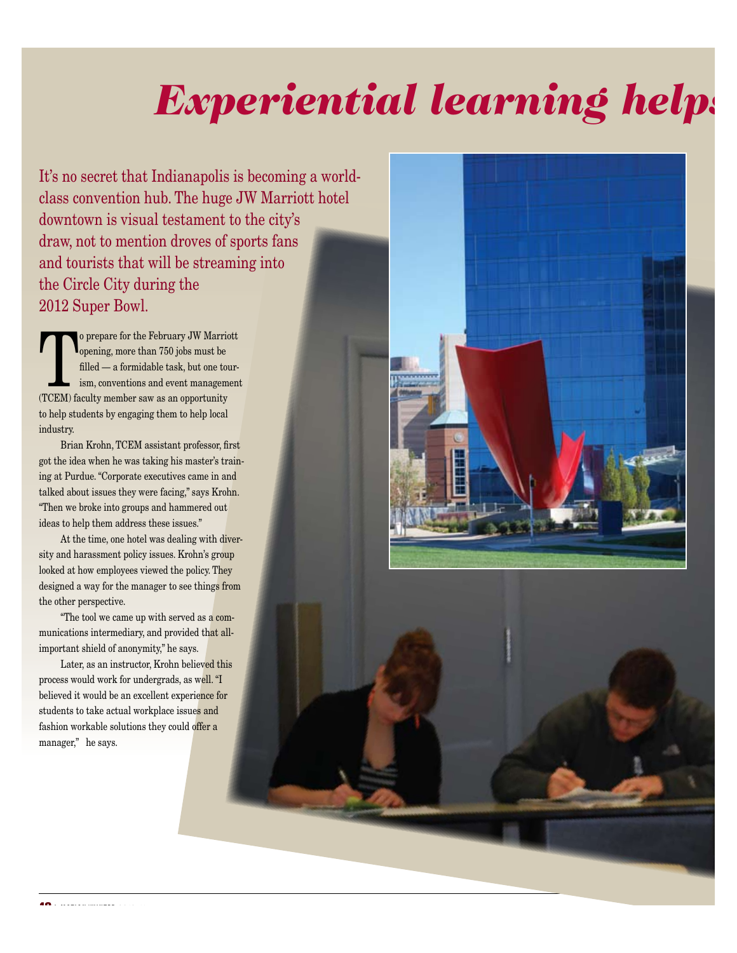## *Experiential learning helps*

It's no secret that Indianapolis is becoming a worldclass convention hub. The huge JW Marriott hotel downtown is visual testament to the city's draw, not to mention droves of sports fans and tourists that will be streaming into the Circle City during the 2012 Super Bowl.

 $\begin{array}{c} \begin{array}{|l} \hline \text{o prepare for the February JW \text{ Marriot}} \end{array} \end{array}$ <br>
opening, more than 750 jobs must be filled — a formidable task, but one tour-<br>
ism, conventions and event management<br>
(TCFM) foculty mamber sew as an approximative opening, more than 750 jobs must be filled — a formidable task, but one tourism, conventions and event management (TCEM) faculty member saw as an opportunity to help students by engaging them to help local industry.

Brian Krohn, TCEM assistant professor, first got the idea when he was taking his master's training at Purdue. "Corporate executives came in and talked about issues they were facing," says Krohn. "Then we broke into groups and hammered out ideas to help them address these issues."

At the time, one hotel was dealing with diversity and harassment policy issues. Krohn's group looked at how employees viewed the policy. They designed a way for the manager to see things from the other perspective.

"The tool we came up with served as a communications intermediary, and provided that allimportant shield of anonymity," he says.

Later, as an instructor, Krohn believed this process would work for undergrads, as well. "I believed it would be an excellent experience for students to take actual workplace issues and fashion workable solutions they could offer a manager," he says.